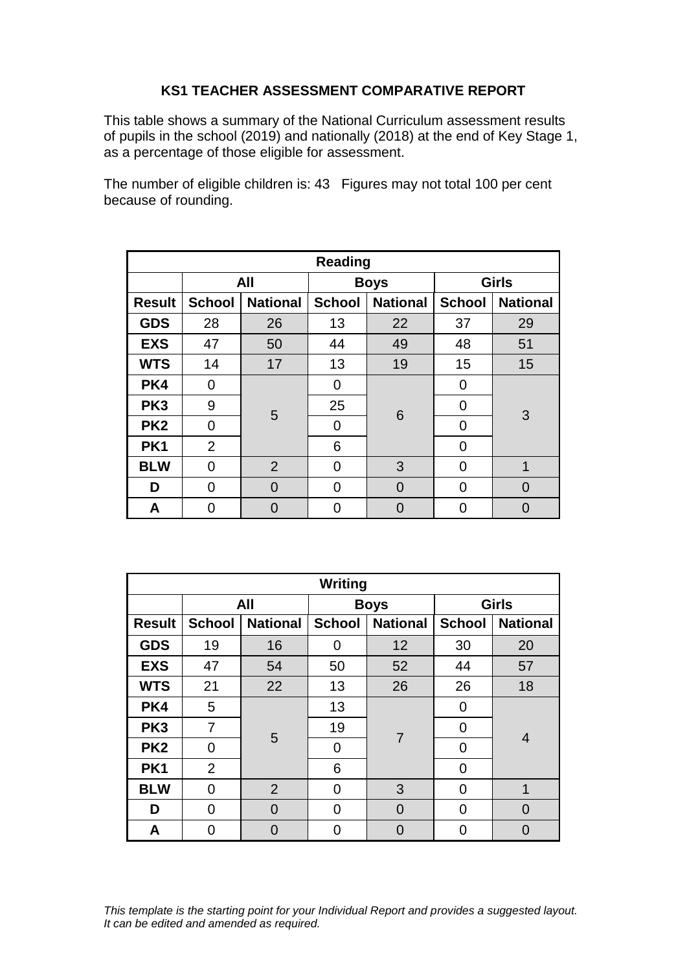## **KS1 TEACHER ASSESSMENT COMPARATIVE REPORT**

This table shows a summary of the National Curriculum assessment results of pupils in the school (2019) and nationally (2018) at the end of Key Stage 1, as a percentage of those eligible for assessment.

The number of eligible children is: 43 Figures may not total 100 per cent because of rounding.

| <b>Reading</b>  |                |                 |               |                 |               |                 |  |
|-----------------|----------------|-----------------|---------------|-----------------|---------------|-----------------|--|
|                 | All            |                 | <b>Boys</b>   |                 | <b>Girls</b>  |                 |  |
| <b>Result</b>   | <b>School</b>  | <b>National</b> | <b>School</b> | <b>National</b> | <b>School</b> | <b>National</b> |  |
| <b>GDS</b>      | 28             | 26              | 13            | 22              | 37            | 29              |  |
| <b>EXS</b>      | 47             | 50              | 44            | 49              | 48            | 51              |  |
| <b>WTS</b>      | 14             | 17              | 13            | 19              | 15            | 15              |  |
| PK4             | 0              |                 | 0             | 6               | 0             | 3               |  |
| PK <sub>3</sub> | 9              | 5               | 25            |                 | 0             |                 |  |
| PK <sub>2</sub> | $\overline{0}$ |                 | 0             |                 | 0             |                 |  |
| PK <sub>1</sub> | $\overline{2}$ |                 | 6             |                 | 0             |                 |  |
| <b>BLW</b>      | $\overline{0}$ | $\overline{2}$  | 0             | 3               | 0             | 1               |  |
| D               | 0              | $\Omega$        | 0             | $\Omega$        | 0             | O               |  |
| Α               | U              | O               | 0             | O               | O             |                 |  |

| Writing         |               |                 |               |                 |               |                 |  |
|-----------------|---------------|-----------------|---------------|-----------------|---------------|-----------------|--|
|                 | All           |                 | <b>Boys</b>   |                 | <b>Girls</b>  |                 |  |
| <b>Result</b>   | <b>School</b> | <b>National</b> | <b>School</b> | <b>National</b> | <b>School</b> | <b>National</b> |  |
| <b>GDS</b>      | 19            | 16              | 0             | 12              | 30            | 20              |  |
| <b>EXS</b>      | 47            | 54              | 50            | 52              | 44            | 57              |  |
| <b>WTS</b>      | 21            | 22              | 13            | 26              | 26            | 18              |  |
| PK4             | 5             |                 | 13            | $\overline{7}$  | 0             | $\overline{4}$  |  |
| PK <sub>3</sub> | 7             | 5               | 19            |                 | 0             |                 |  |
| PK <sub>2</sub> | 0             |                 | 0             |                 | 0             |                 |  |
| PK1             | 2             |                 | 6             |                 | 0             |                 |  |
| <b>BLW</b>      | 0             | $\overline{2}$  | 0             | 3               | 0             | 1               |  |
| D               | 0             | $\Omega$        | 0             | 0               | 0             | $\Omega$        |  |
| A               | O             | O               | 0             |                 | 0             | 0               |  |

*This template is the starting point for your Individual Report and provides a suggested layout. It can be edited and amended as required.*